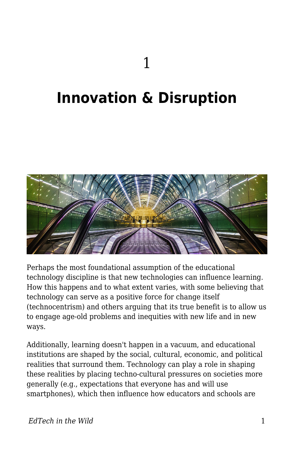## **Innovation & Disruption**



Perhaps the most foundational assumption of the educational technology discipline is that new technologies can influence learning. How this happens and to what extent varies, with some believing that technology can serve as a positive force for change itself (technocentrism) and others arguing that its true benefit is to allow us to engage age-old problems and inequities with new life and in new ways.

Additionally, learning doesn't happen in a vacuum, and educational institutions are shaped by the social, cultural, economic, and political realities that surround them. Technology can play a role in shaping these realities by placing techno-cultural pressures on societies more generally (e.g., expectations that everyone has and will use smartphones), which then influence how educators and schools are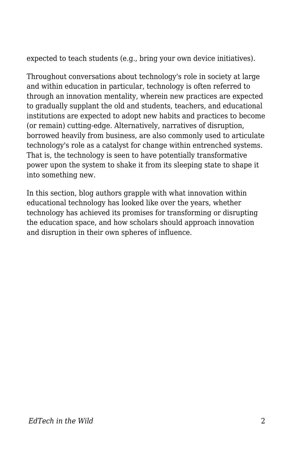expected to teach students (e.g., bring your own device initiatives).

Throughout conversations about technology's role in society at large and within education in particular, technology is often referred to through an innovation mentality, wherein new practices are expected to gradually supplant the old and students, teachers, and educational institutions are expected to adopt new habits and practices to become (or remain) cutting-edge. Alternatively, narratives of disruption, borrowed heavily from business, are also commonly used to articulate technology's role as a catalyst for change within entrenched systems. That is, the technology is seen to have potentially transformative power upon the system to shake it from its sleeping state to shape it into something new.

In this section, blog authors grapple with what innovation within educational technology has looked like over the years, whether technology has achieved its promises for transforming or disrupting the education space, and how scholars should approach innovation and disruption in their own spheres of influence.